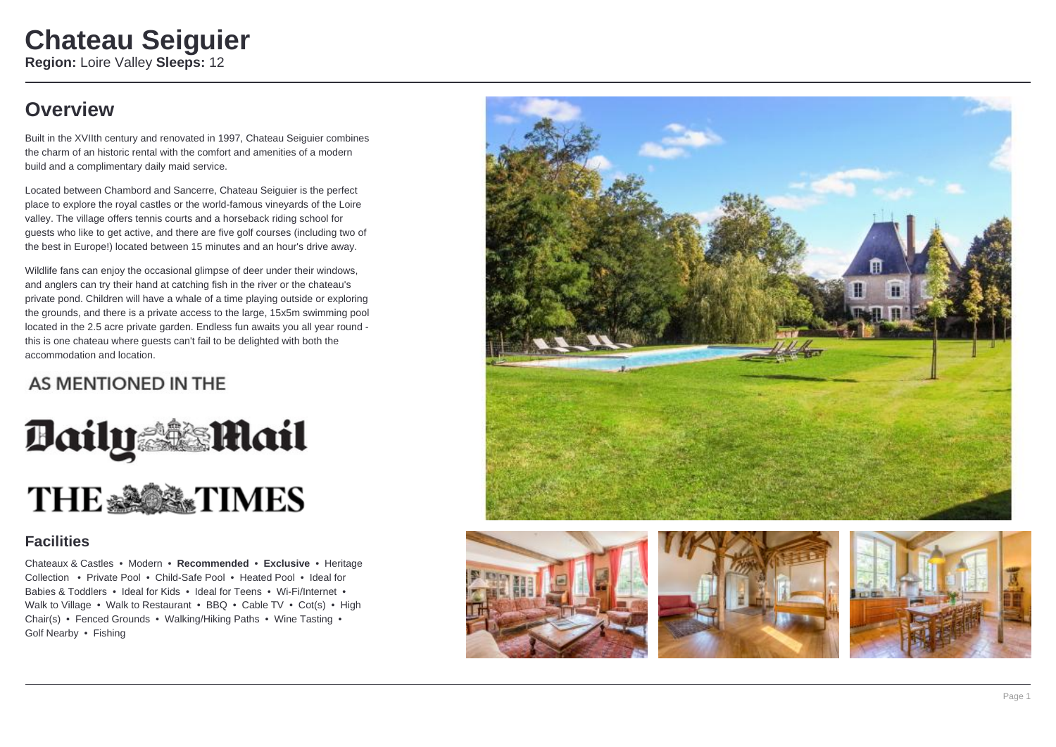# **Overview**

Built in the XVIIth century and renovated in 1997, Chateau Seiguier combines the charm of an historic rental with the comfort and amenities of a modern build and a complimentary daily maid service.

Located between Chambord and Sancerre, Chateau Seiguier is the perfect place to explore the royal castles or the world-famous vineyards of the Loire valley. The village offers tennis courts and a horseback riding school for guests who like to get active, and there are five golf courses (including two of the best in Europe!) located between 15 minutes and an hour's drive away.

Wildlife fans can enjoy the occasional glimpse of deer under their windows, and anglers can try their hand at catching fish in the river or the chateau's private pond. Children will have a whale of a time playing outside or exploring the grounds, and there is a private access to the large, 15x5m swimming pool located in the 2.5 acre private garden. Endless fun awaits you all year round this is one chateau where guests can't fail to be delighted with both the accommodation and location.

## AS MENTIONED IN THE



### **Facilities**

Chateaux & Castles • Modern • **Recommended** • **Exclusive** • Heritage Collection • Private Pool • Child-Safe Pool • Heated Pool • Ideal for Babies & Toddlers • Ideal for Kids • Ideal for Teens • Wi-Fi/Internet • Walk to Village • Walk to Restaurant • BBQ • Cable TV • Cot(s) • High Chair(s) • Fenced Grounds • Walking/Hiking Paths • Wine Tasting • Golf Nearby • Fishing







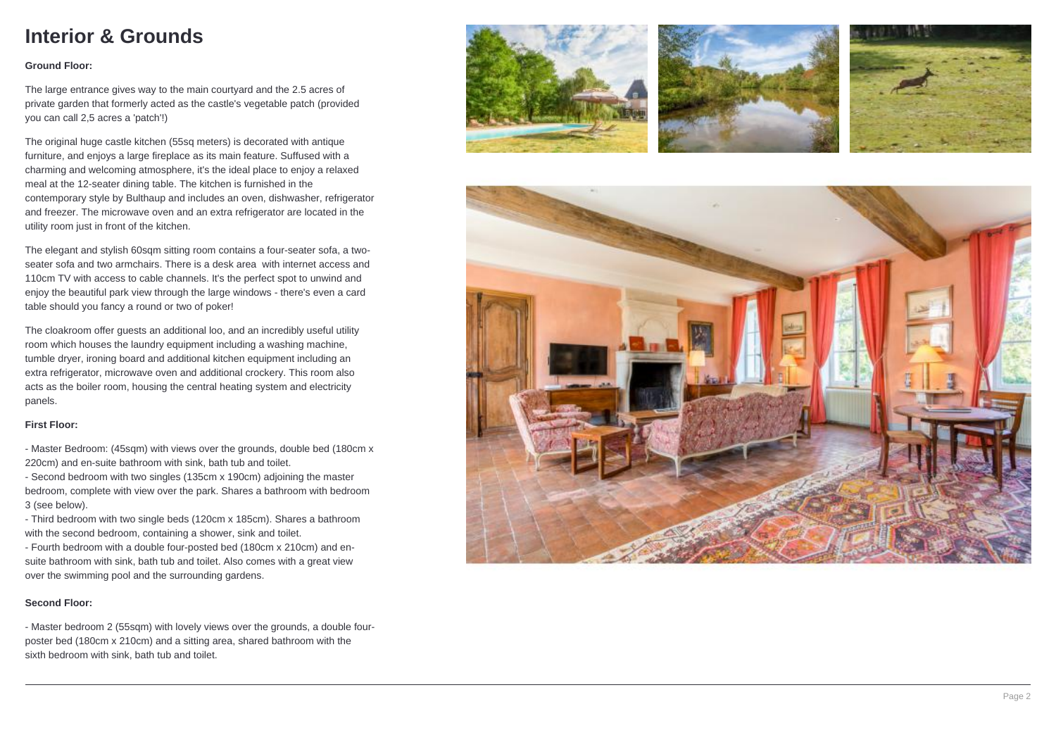### **Interior & Grounds**

### **Ground Floor:**

The large entrance gives way to the main courtyard and the 2.5 acres of private garden that formerly acted as the castle's vegetable patch (provided you can call 2,5 acres a 'patch'!)

The original huge castle kitchen (55sq meters) is decorated with antique furniture, and enjoys a large fireplace as its main feature. Suffused with a charming and welcoming atmosphere, it's the ideal place to enjoy a relaxed meal at the 12-seater dining table. The kitchen is furnished in the contemporary style by Bulthaup and includes an oven, dishwasher, refrigerator and freezer. The microwave oven and an extra refrigerator are located in the utility room just in front of the kitchen.

The elegant and stylish 60sqm sitting room contains a four-seater sofa, a twoseater sofa and two armchairs. There is a desk area with internet access and 110cm TV with access to cable channels. It's the perfect spot to unwind and enjoy the beautiful park view through the large windows - there's even a card table should you fancy a round or two of poker!

The cloakroom offer guests an additional loo, and an incredibly useful utility room which houses the laundry equipment including a washing machine, tumble dryer, ironing board and additional kitchen equipment including an extra refrigerator, microwave oven and additional crockery. This room also acts as the boiler room, housing the central heating system and electricity panels.

### **First Floor:**

- Master Bedroom: (45sqm) with views over the grounds, double bed (180cm x 220cm) and en-suite bathroom with sink, bath tub and toilet.

- Second bedroom with two singles (135cm x 190cm) adjoining the master bedroom, complete with view over the park. Shares a bathroom with bedroom 3 (see below).

- Third bedroom with two single beds (120cm x 185cm). Shares a bathroom with the second bedroom, containing a shower, sink and toilet.

- Fourth bedroom with a double four-posted bed (180cm x 210cm) and ensuite bathroom with sink, bath tub and toilet. Also comes with a great view over the swimming pool and the surrounding gardens.

#### **Second Floor:**

- Master bedroom 2 (55sqm) with lovely views over the grounds, a double fourposter bed (180cm x 210cm) and a sitting area, shared bathroom with the sixth bedroom with sink, bath tub and toilet.







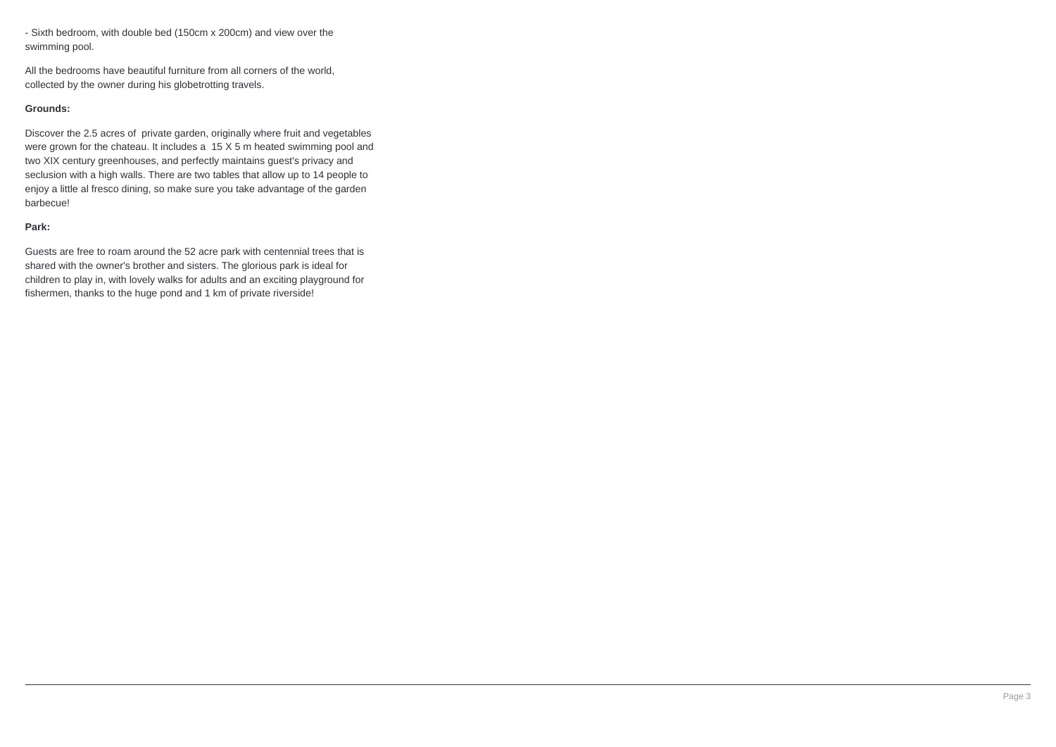- Sixth bedroom, with double bed (150cm x 200cm) and view over the swimming pool.

All the bedrooms have beautiful furniture from all corners of the world, collected by the owner during his globetrotting travels.

#### **Grounds:**

Discover the 2.5 acres of private garden, originally where fruit and vegetables were grown for the chateau. It includes a 15 X 5 m heated swimming pool and two XIX century greenhouses, and perfectly maintains guest's privacy and seclusion with a high walls. There are two tables that allow up to 14 people to enjoy a little al fresco dining, so make sure you take advantage of the garden barbecue!

#### **Park:**

Guests are free to roam around the 52 acre park with centennial trees that is shared with the owner's brother and sisters. The glorious park is ideal for children to play in, with lovely walks for adults and an exciting playground for fishermen, thanks to the huge pond and 1 km of private riverside!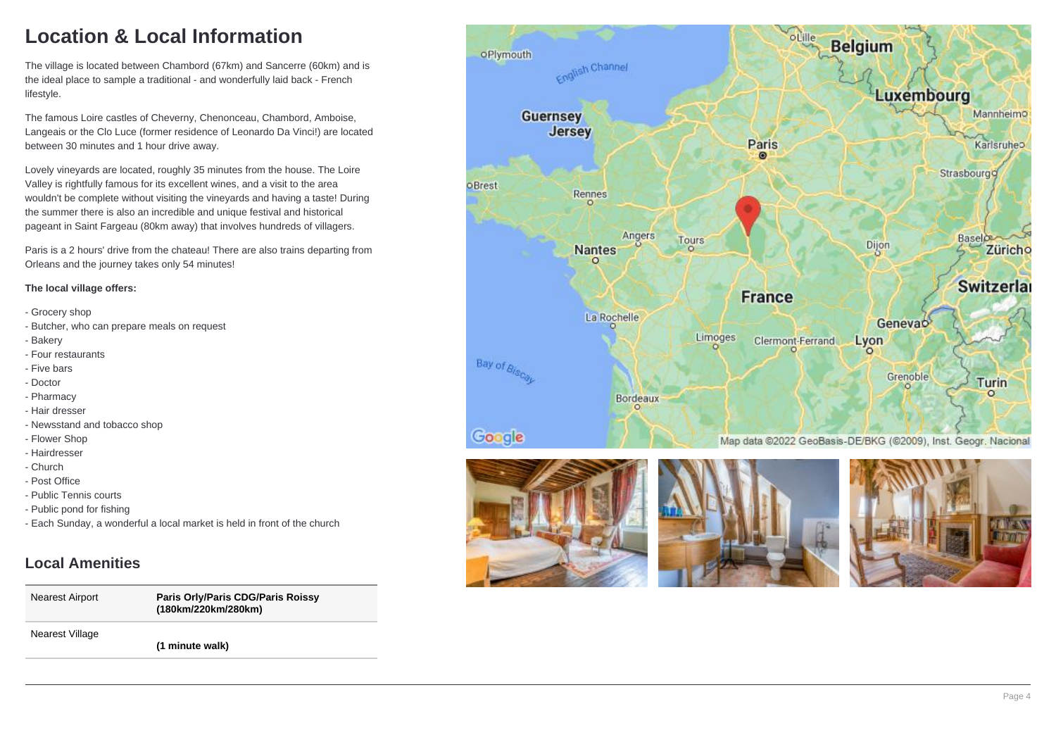# **Location & Local Information**

The village is located between Chambord (67km) and Sancerre (60km) and is the ideal place to sample a traditional - and wonderfully laid back - French lifestyle.

The famous Loire castles of Cheverny, Chenonceau, Chambord, Amboise, Langeais or the Clo Luce (former residence of Leonardo Da Vinci!) are located between 30 minutes and 1 hour drive away.

Lovely vineyards are located, roughly 35 minutes from the house. The Loire Valley is rightfully famous for its excellent wines, and a visit to the area wouldn't be complete without visiting the vineyards and having a taste! During the summer there is also an incredible and unique festival and historical pageant in Saint Fargeau (80km away) that involves hundreds of villagers.

Paris is a 2 hours' drive from the chateau! There are also trains departing from Orleans and the journey takes only 54 minutes!

#### **The local village offers:**

- Grocery shop
- Butcher, who can prepare meals on request
- Bakery
- Four restaurants
- Five bars
- Doctor
- Pharmacy
- Hair dresser
- Newsstand and tobacco shop
- Flower Shop
- Hairdresser
- Church
- Post Office
- Public Tennis courts
- Public pond for fishing
- Each Sunday, a wonderful a local market is held in front of the church

### **Local Amenities**

Nearest Airport **Paris Orly/Paris CDG/Paris Roissy (180km/220km/280km)**

Nearest Village

**(1 minute walk)**







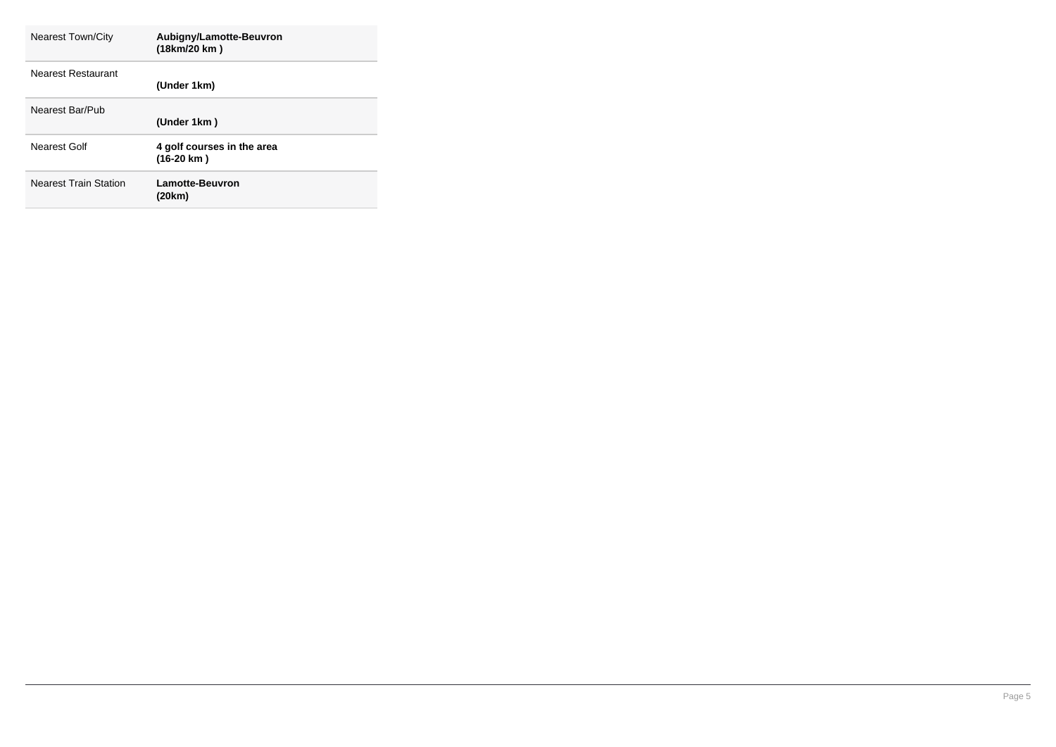| <b>Nearest Town/City</b>     | Aubigny/Lamotte-Beuvron<br>(18km/20 km)            |
|------------------------------|----------------------------------------------------|
| Nearest Restaurant           | (Under 1km)                                        |
| Nearest Bar/Pub              | (Under 1km)                                        |
| Nearest Golf                 | 4 golf courses in the area<br>$(16-20 \text{ km})$ |
| <b>Nearest Train Station</b> | <b>Lamotte-Beuvron</b><br>(20km)                   |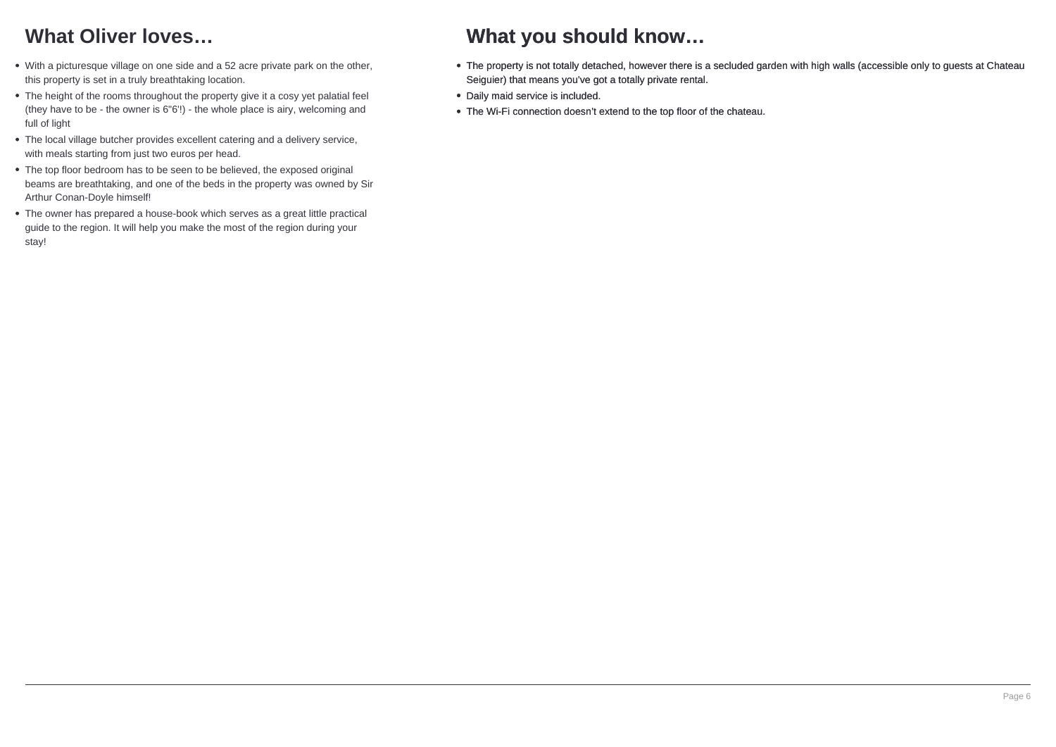## **What Oliver loves…**

- With a picturesque village on one side and a 52 acre private park on the other, this property is set in a truly breathtaking location.
- The height of the rooms throughout the property give it a cosy yet palatial feel (they have to be - the owner is 6"6'!) - the whole place is airy, welcoming and full of light
- The local village butcher provides excellent catering and a delivery service, with meals starting from just two euros per head.
- The top floor bedroom has to be seen to be believed, the exposed original beams are breathtaking, and one of the beds in the property was owned by Sir Arthur Conan-Doyle himself!
- The owner has prepared a house-book which serves as a great little practical guide to the region. It will help you make the most of the region during your stay!

## **What you should know…**

- The property is not totally detached, however there is a secluded garden with high walls (accessible only to guests at Chateau Seiguier) that means you've got a totally private rental.
- Daily maid service is included.
- The Wi-Fi connection doesn't extend to the top floor of the chateau.